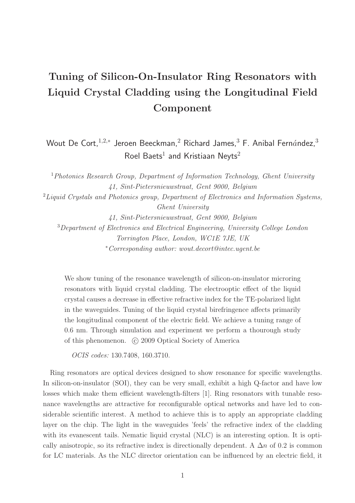## Tuning of Silicon-On-Insulator Ring Resonators with Liquid Crystal Cladding using the Longitudinal Field Component

Wout De Cort, $^{1,2,*}$  Jeroen Beeckman, $^2$  Richard James, $^3$  F. Anibal Fern $\acute{a}$ ndez, $^3$ Roel Baets $^1$  and Kristiaan Neyts $^2$ 

<sup>1</sup>*Photonics Research Group, Department of Information Technology, Ghent University 41, Sint-Pietersnieuwstraat, Gent 9000, Belgium* <sup>2</sup>*Liquid Crystals and Photonics group, Department of Electronics and Information Systems, Ghent University 41, Sint-Pietersnieuwstraat, Gent 9000, Belgium* <sup>3</sup>*Department of Electronics and Electrical Engineering, University College London Torrington Place, London, WC1E 7JE, UK* <sup>∗</sup>*Corresponding author: wout.decort@intec.ugent.be*

We show tuning of the resonance wavelength of silicon-on-insulator microring resonators with liquid crystal cladding. The electrooptic effect of the liquid crystal causes a decrease in effective refractive index for the TE-polarized light in the waveguides. Tuning of the liquid crystal birefringence affects primarily the longitudinal component of the electric field. We achieve a tuning range of 0.6 nm. Through simulation and experiment we perform a thourough study of this phenomenon.  $\odot$  2009 Optical Society of America

*OCIS codes:* 130.7408, 160.3710.

Ring resonators are optical devices designed to show resonance for specific wavelengths. In silicon-on-insulator (SOI), they can be very small, exhibit a high Q-factor and have low losses which make them efficient wavelength-filters [1]. Ring resonators with tunable resonance wavelengths are attractive for reconfigurable optical networks and have led to considerable scientific interest. A method to achieve this is to apply an appropriate cladding layer on the chip. The light in the waveguides 'feels' the refractive index of the cladding with its evanescent tails. Nematic liquid crystal (NLC) is an interesting option. It is optically anisotropic, so its refractive index is directionally dependent. A  $\Delta n$  of 0.2 is common for LC materials. As the NLC director orientation can be influenced by an electric field, it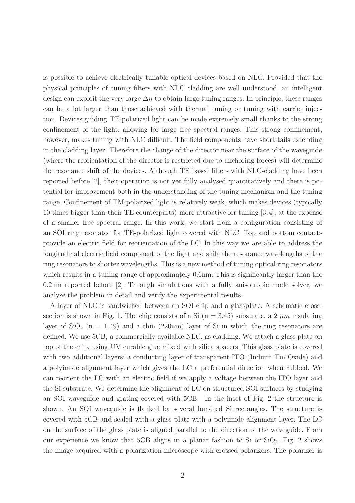is possible to achieve electrically tunable optical devices based on NLC. Provided that the physical principles of tuning filters with NLC cladding are well understood, an intelligent design can exploit the very large  $\Delta n$  to obtain large tuning ranges. In principle, these ranges can be a lot larger than those achieved with thermal tuning or tuning with carrier injection. Devices guiding TE-polarized light can be made extremely small thanks to the strong confinement of the light, allowing for large free spectral ranges. This strong confinement, however, makes tuning with NLC difficult. The field components have short tails extending in the cladding layer. Therefore the change of the director near the surface of the waveguide (where the reorientation of the director is restricted due to anchoring forces) will determine the resonance shift of the devices. Although TE based filters with NLC-cladding have been reported before [2], their operation is not yet fully analysed quantitatively and there is potential for improvement both in the understanding of the tuning mechanism and the tuning range. Confinement of TM-polarized light is relatively weak, which makes devices (typically 10 times bigger than their TE counterparts) more attractive for tuning [3,4], at the expense of a smaller free spectral range. In this work, we start from a configuration consisting of an SOI ring resonator for TE-polarized light covered with NLC. Top and bottom contacts provide an electric field for reorientation of the LC. In this way we are able to address the longitudinal electric field component of the light and shift the resonance wavelengths of the ring resonators to shorter wavelengths. This is a new method of tuning optical ring resonators which results in a tuning range of approximately 0.6nm. This is significantly larger than the 0.2nm reported before [2]. Through simulations with a fully anisotropic mode solver, we analyse the problem in detail and verify the experimental results.

A layer of NLC is sandwiched between an SOI chip and a glassplate. A schematic crosssection is shown in Fig. 1. The chip consists of a Si  $(n = 3.45)$  substrate, a 2  $\mu m$  insulating layer of  $SiO<sub>2</sub>$  (n = 1.49) and a thin (220nm) layer of Si in which the ring resonators are defined. We use 5CB, a commercially available NLC, as cladding. We attach a glass plate on top of the chip, using UV curable glue mixed with silica spacers. This glass plate is covered with two additional layers: a conducting layer of transparent ITO (Indium Tin Oxide) and a polyimide alignment layer which gives the LC a preferential direction when rubbed. We can reorient the LC with an electric field if we apply a voltage between the ITO layer and the Si substrate. We determine the alignment of LC on structured SOI surfaces by studying an SOI waveguide and grating covered with 5CB. In the inset of Fig. 2 the structure is shown. An SOI waveguide is flanked by several hundred Si rectangles. The structure is covered with 5CB and sealed with a glass plate with a polyimide alignment layer. The LC on the surface of the glass plate is aligned parallel to the direction of the waveguide. From our experience we know that 5CB aligns in a planar fashion to Si or  $SiO<sub>2</sub>$ . Fig. 2 shows the image acquired with a polarization microscope with crossed polarizers. The polarizer is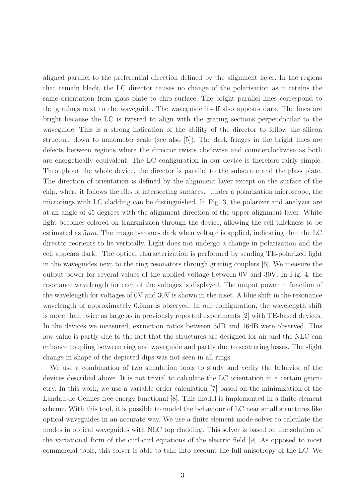aligned parallel to the preferential direction defined by the alignment layer. In the regions that remain black, the LC director causes no change of the polarisation as it retains the same orientation from glass plate to chip surface. The bright parallel lines correspond to the gratings next to the waveguide. The waveguide itself also appears dark. The lines are bright because the LC is twisted to align with the grating sections perpendicular to the waveguide. This is a strong indication of the ability of the director to follow the silicon structure down to nanometer scale (see also [5]). The dark fringes in the bright lines are defects between regions where the director twists clockwise and counterclockwise as both are energetically equivalent. The LC configuration in our device is therefore fairly simple. Throughout the whole device, the director is parallel to the substrate and the glass plate. The direction of orientation is defined by the alignment layer except on the surface of the chip, where it follows the ribs of intersecting surfaces. Under a polarization microscope, the microrings with LC cladding can be distinguished. In Fig. 3, the polarizer and analyzer are at an angle of 45 degrees with the alignment direction of the upper alignment layer. White light becomes colored on transmission through the device, allowing the cell thickness to be estimated as  $5\mu m$ . The image becomes dark when voltage is applied, indicating that the LC director reorients to lie vertically. Light does not undergo a change in polarization and the cell appears dark. The optical characterization is performed by sending TE-polarized light in the waveguides next to the ring resonators through grating couplers [6]. We measure the output power for several values of the applied voltage between 0V and 30V. In Fig. 4. the resonance wavelength for each of the voltages is displayed. The output power in function of the wavelength for voltages of 0V and 30V is shown in the inset. A blue shift in the resonance wavelength of approximately 0.6nm is observed. In our configuration, the wavelength shift is more than twice as large as in previously reported experiments [2] with TE-based devices. In the devices we measured, extinction ratios between 3dB and 16dB were observed. This low value is partly due to the fact that the structures are designed for air and the NLC can enhance coupling between ring and waveguide and partly due to scattering losses. The slight change in shape of the depicted dips was not seen in all rings.

We use a combination of two simulation tools to study and verify the behavior of the devices described above. It is not trivial to calculate the LC orientation in a certain geometry. In this work, we use a variable order calculation [7] based on the minimization of the Landau-de Gennes free energy functional [8]. This model is implemented in a finite-element scheme. With this tool, it is possible to model the behaviour of LC near small structures like optical waveguides in an accurate way. We use a finite element mode solver to calculate the modes in optical waveguides with NLC top cladding. This solver is based on the solution of the variational form of the curl-curl equations of the electric field [9]. As opposed to most commercial tools, this solver is able to take into account the full anisotropy of the LC. We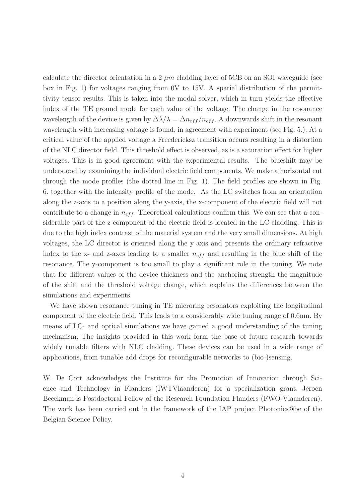calculate the director orientation in a 2  $\mu$ m cladding layer of 5CB on an SOI waveguide (see box in Fig. 1) for voltages ranging from 0V to 15V. A spatial distribution of the permittivity tensor results. This is taken into the modal solver, which in turn yields the effective index of the TE ground mode for each value of the voltage. The change in the resonance wavelength of the device is given by  $\Delta \lambda / \lambda = \Delta n_{eff} / n_{eff}$ . A downwards shift in the resonant wavelength with increasing voltage is found, in agreement with experiment (see Fig. 5.). At a critical value of the applied voltage a Freedericksz transition occurs resulting in a distortion of the NLC director field. This threshold effect is observed, as is a saturation effect for higher voltages. This is in good agreement with the experimental results. The blueshift may be understood by examining the individual electric field components. We make a horizontal cut through the mode profiles (the dotted line in Fig. 1). The field profiles are shown in Fig. 6. together with the intensity profile of the mode. As the LC switches from an orientation along the z-axis to a position along the y-axis, the x-component of the electric field will not contribute to a change in  $n_{eff}$ . Theoretical calculations confirm this. We can see that a considerable part of the z-component of the electric field is located in the LC cladding. This is due to the high index contrast of the material system and the very small dimensions. At high voltages, the LC director is oriented along the y-axis and presents the ordinary refractive index to the x- and z-axes leading to a smaller  $n_{eff}$  and resulting in the blue shift of the resonance. The y-component is too small to play a significant role in the tuning. We note that for different values of the device thickness and the anchoring strength the magnitude of the shift and the threshold voltage change, which explains the differences between the simulations and experiments.

We have shown resonance tuning in TE microring resonators exploiting the longitudinal component of the electric field. This leads to a considerably wide tuning range of 0.6nm. By means of LC- and optical simulations we have gained a good understanding of the tuning mechanism. The insights provided in this work form the base of future research towards widely tunable filters with NLC cladding. These devices can be used in a wide range of applications, from tunable add-drops for reconfigurable networks to (bio-)sensing.

W. De Cort acknowledges the Institute for the Promotion of Innovation through Science and Technology in Flanders (IWTVlaanderen) for a specialization grant. Jeroen Beeckman is Postdoctoral Fellow of the Research Foundation Flanders (FWO-Vlaanderen). The work has been carried out in the framework of the IAP project Photonics@be of the Belgian Science Policy.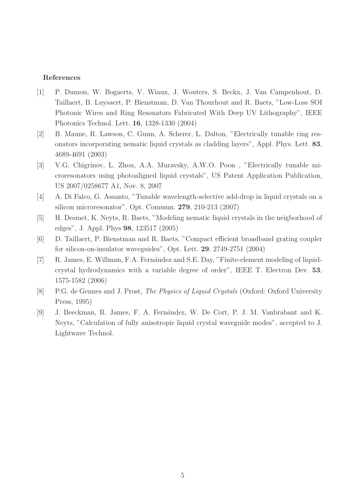## References

- [1] P. Dumon, W. Bogaerts, V. Wiaux, J. Wouters, S. Beckx, J. Van Campenhout, D. Taillaert, B. Luysaert, P. Bienstman, D. Van Thourhout and R. Baets, "Low-Loss SOI Photonic Wires and Ring Resonators Fabricated With Deep UV Lithography", IEEE Photonics Technol. Lett. 16, 1328-1330 (2004)
- [2] B. Maune, R. Lawson, C. Gunn, A. Scherer, L. Dalton, "Electrically tunable ring resonators incorporating nematic liquid crystals as cladding layers", Appl. Phys. Lett. 83, 4689-4691 (2003)
- [3] V.G. Chigrinov, L. Zhou, A.A. Muravsky, A.W.O. Poon , "Electrically tunable microresonators using photoaligned liquid crystals", US Patent Application Publication, US 2007/0258677 A1, Nov. 8, 2007
- [4] A. Di Falco, G. Assanto, "Tunable wavelength-selective add-drop in liquid crystals on a silicon microresonator", Opt. Commun. 279, 210-213 (2007)
- [5] H. Desmet, K. Neyts, R. Baets, "Modeling nematic liquid crystals in the neigborhood of edges", J. Appl. Phys 98, 123517 (2005)
- [6] D. Taillaert, P. Bienstman and R. Baets, "Compact efficient broadband grating coupler for silicon-on-insulator waveguides", Opt. Lett. 29, 2749-2751 (2004)
- [7] R. James, E. Willman, F.A. Fernández and S.E. Day, "Finite-element modeling of liquidcrystal hydrodynamics with a variable degree of order", IEEE T. Electron Dev. 53, 1575-1582 (2006)
- [8] P.G. de Gennes and J. Prost, *The Physics of Liquid Crystals* (Oxford: Oxford University Press, 1995)
- [9] J. Beeckman, R. James, F. A. Fernández, W. De Cort, P. J. M. Vanbrabant and K. Neyts, "Calculation of fully anisotropic liquid crystal waveguide modes", accepted to J. Lightwave Technol.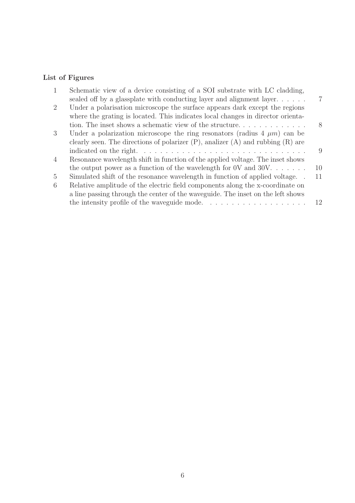## List of Figures

| 1              | Schematic view of a device consisting of a SOI substrate with LC cladding,               |    |
|----------------|------------------------------------------------------------------------------------------|----|
|                | sealed off by a glassplate with conducting layer and alignment layer                     |    |
| 2              | Under a polarisation microscope the surface appears dark except the regions              |    |
|                | where the grating is located. This indicates local changes in director orienta-          |    |
|                |                                                                                          | 8  |
| 3              | Under a polarization microscope the ring resonators (radius $4 \mu m$ ) can be           |    |
|                | clearly seen. The directions of polarizer $(P)$ , analizer $(A)$ and rubbing $(R)$ are   |    |
|                |                                                                                          | 9  |
| $\overline{4}$ | Resonance wavelength shift in function of the applied voltage. The inset shows           |    |
|                | the output power as a function of the wavelength for 0V and 30V. $\dots$                 | 10 |
| $\overline{5}$ | Simulated shift of the resonance wavelength in function of applied voltage               | 11 |
| 6              | Relative amplitude of the electric field components along the x-coordinate on            |    |
|                | a line passing through the center of the waveguide. The inset on the left shows          |    |
|                | the intensity profile of the waveguide mode. $\ldots \ldots \ldots \ldots \ldots \ldots$ | 12 |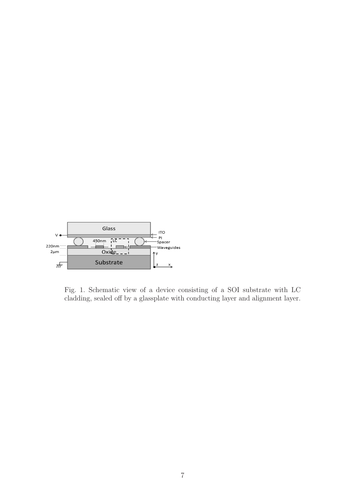

Fig. 1. Schematic view of a device consisting of a SOI substrate with LC cladding, sealed off by a glassplate with conducting layer and alignment layer.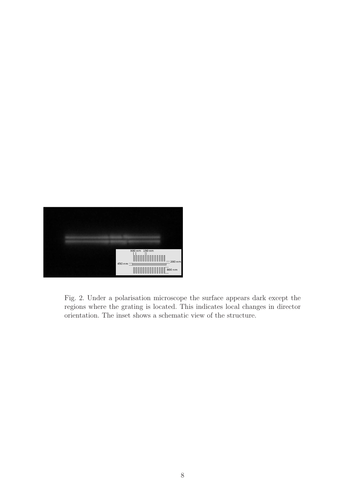

Fig. 2. Under a polarisation microscope the surface appears dark except the regions where the grating is located. This indicates local changes in director orientation. The inset shows a schematic view of the structure.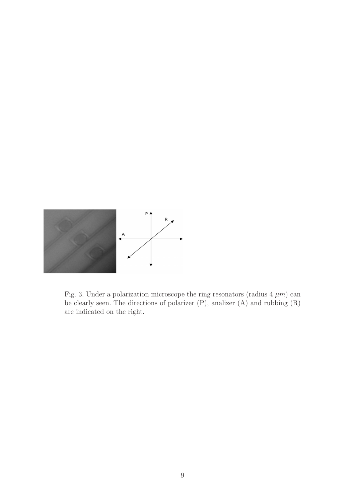

Fig. 3. Under a polarization microscope the ring resonators (radius  $4 \mu m$ ) can be clearly seen. The directions of polarizer (P), analizer (A) and rubbing (R) are indicated on the right.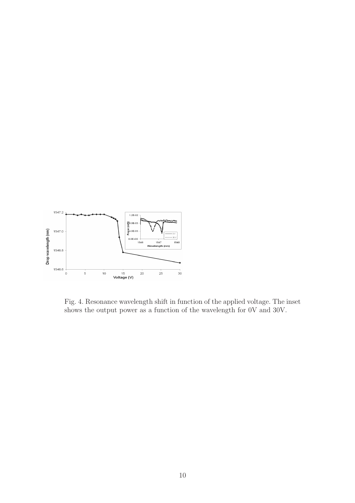

Fig. 4. Resonance wavelength shift in function of the applied voltage. The inset shows the output power as a function of the wavelength for 0V and 30V.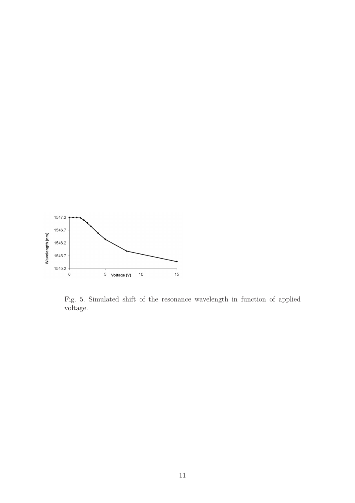

Fig. 5. Simulated shift of the resonance wavelength in function of applied voltage.